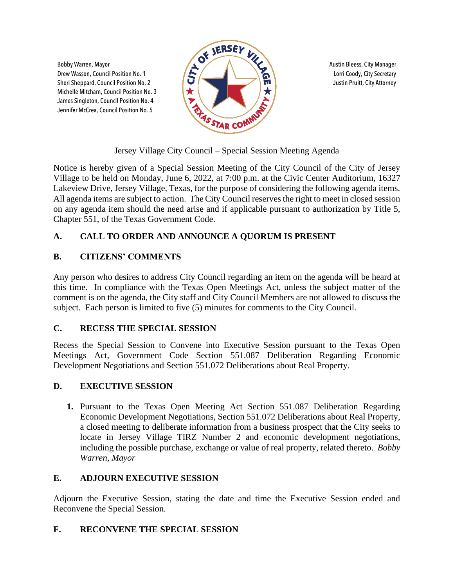Michelle Mitcham, Council Position No. 3 James Singleton, Council Position No. 4 Jennifer McCrea, Council Position No. 5



Jersey Village City Council – Special Session Meeting Agenda

Notice is hereby given of a Special Session Meeting of the City Council of the City of Jersey Village to be held on Monday, June 6, 2022, at 7:00 p.m. at the Civic Center Auditorium, 16327 Lakeview Drive, Jersey Village, Texas, for the purpose of considering the following agenda items. All agenda items are subject to action. The City Council reserves the right to meet in closed session on any agenda item should the need arise and if applicable pursuant to authorization by Title 5, Chapter 551, of the Texas Government Code.

# **A. CALL TO ORDER AND ANNOUNCE A QUORUM IS PRESENT**

## **B. CITIZENS' COMMENTS**

Any person who desires to address City Council regarding an item on the agenda will be heard at this time. In compliance with the Texas Open Meetings Act, unless the subject matter of the comment is on the agenda, the City staff and City Council Members are not allowed to discuss the subject. Each person is limited to five (5) minutes for comments to the City Council.

## **C. RECESS THE SPECIAL SESSION**

Recess the Special Session to Convene into Executive Session pursuant to the Texas Open Meetings Act, Government Code Section 551.087 Deliberation Regarding Economic Development Negotiations and Section 551.072 Deliberations about Real Property.

## **D. EXECUTIVE SESSION**

**1.** Pursuant to the Texas Open Meeting Act Section 551.087 Deliberation Regarding Economic Development Negotiations, Section 551.072 Deliberations about Real Property, a closed meeting to deliberate information from a business prospect that the City seeks to locate in Jersey Village TIRZ Number 2 and economic development negotiations, including the possible purchase, exchange or value of real property, related thereto. *Bobby Warren, Mayor*

## **E. ADJOURN EXECUTIVE SESSION**

Adjourn the Executive Session, stating the date and time the Executive Session ended and Reconvene the Special Session.

## **F. RECONVENE THE SPECIAL SESSION**